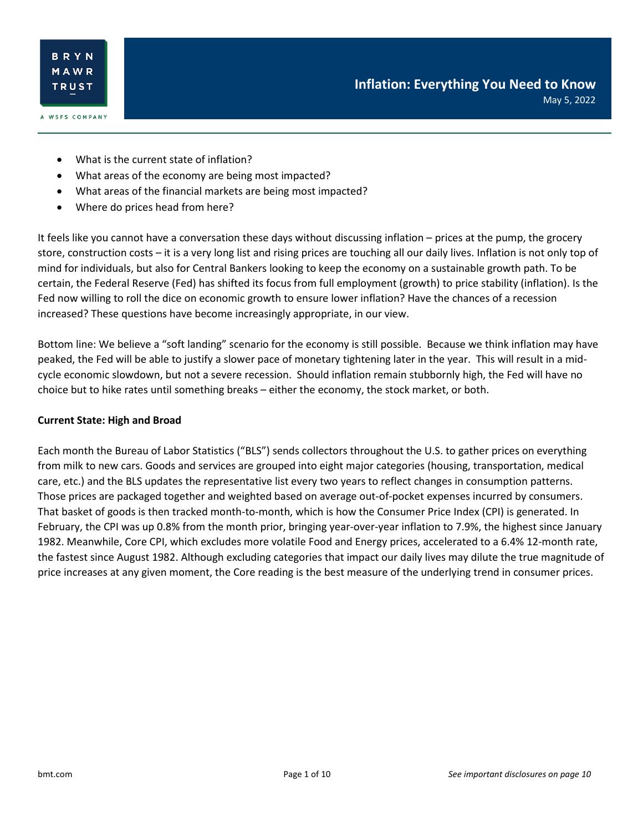- What is the current state of inflation?
- What areas of the economy are being most impacted?
- What areas of the financial markets are being most impacted?
- Where do prices head from here?

It feels like you cannot have a conversation these days without discussing inflation – prices at the pump, the grocery store, construction costs – it is a very long list and rising prices are touching all our daily lives. Inflation is not only top of mind for individuals, but also for Central Bankers looking to keep the economy on a sustainable growth path. To be certain, the Federal Reserve (Fed) has shifted its focus from full employment (growth) to price stability (inflation). Is the Fed now willing to roll the dice on economic growth to ensure lower inflation? Have the chances of a recession increased? These questions have become increasingly appropriate, in our view.

Bottom line: We believe a "soft landing" scenario for the economy is still possible. Because we think inflation may have peaked, the Fed will be able to justify a slower pace of monetary tightening later in the year. This will result in a midcycle economic slowdown, but not a severe recession. Should inflation remain stubbornly high, the Fed will have no choice but to hike rates until something breaks – either the economy, the stock market, or both.

#### **Current State: High and Broad**

Each month the Bureau of Labor Statistics ("BLS") sends collectors throughout the U.S. to gather prices on everything from milk to new cars. Goods and services are grouped into eight major categories (housing, transportation, medical care, etc.) and the BLS updates the representative list every two years to reflect changes in consumption patterns. Those prices are packaged together and weighted based on average out-of-pocket expenses incurred by consumers. That basket of goods is then tracked month-to-month, which is how the Consumer Price Index (CPI) is generated. In February, the CPI was up 0.8% from the month prior, bringing year-over-year inflation to 7.9%, the highest since January 1982. Meanwhile, Core CPI, which excludes more volatile Food and Energy prices, accelerated to a 6.4% 12-month rate, the fastest since August 1982. Although excluding categories that impact our daily lives may dilute the true magnitude of price increases at any given moment, the Core reading is the best measure of the underlying trend in consumer prices.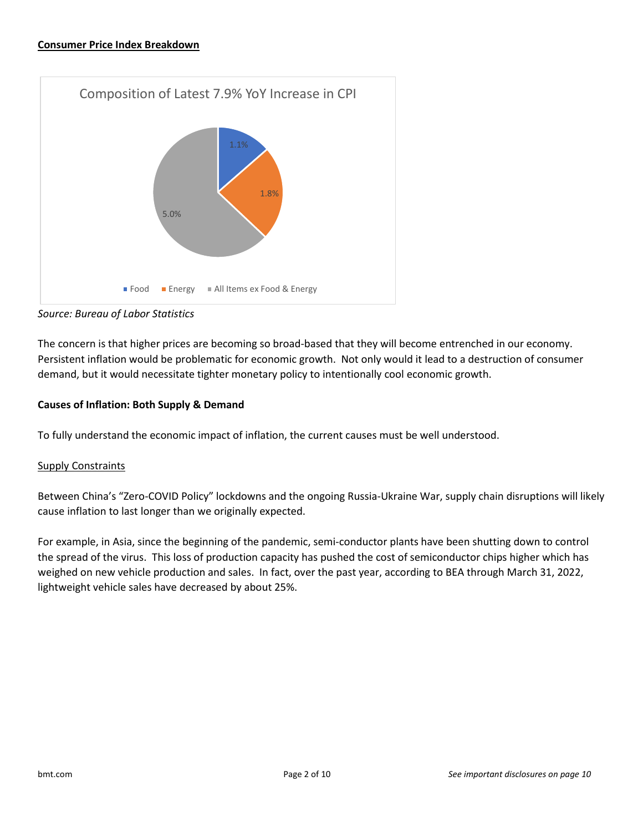

*Source: Bureau of Labor Statistics*

The concern is that higher prices are becoming so broad-based that they will become entrenched in our economy. Persistent inflation would be problematic for economic growth. Not only would it lead to a destruction of consumer demand, but it would necessitate tighter monetary policy to intentionally cool economic growth.

### **Causes of Inflation: Both Supply & Demand**

To fully understand the economic impact of inflation, the current causes must be well understood.

### Supply Constraints

Between China's "Zero-COVID Policy" lockdowns and the ongoing Russia-Ukraine War, supply chain disruptions will likely cause inflation to last longer than we originally expected.

For example, in Asia, since the beginning of the pandemic, semi-conductor plants have been shutting down to control the spread of the virus. This loss of production capacity has pushed the cost of semiconductor chips higher which has weighed on new vehicle production and sales. In fact, over the past year, according to BEA through March 31, 2022, lightweight vehicle sales have decreased by about 25%.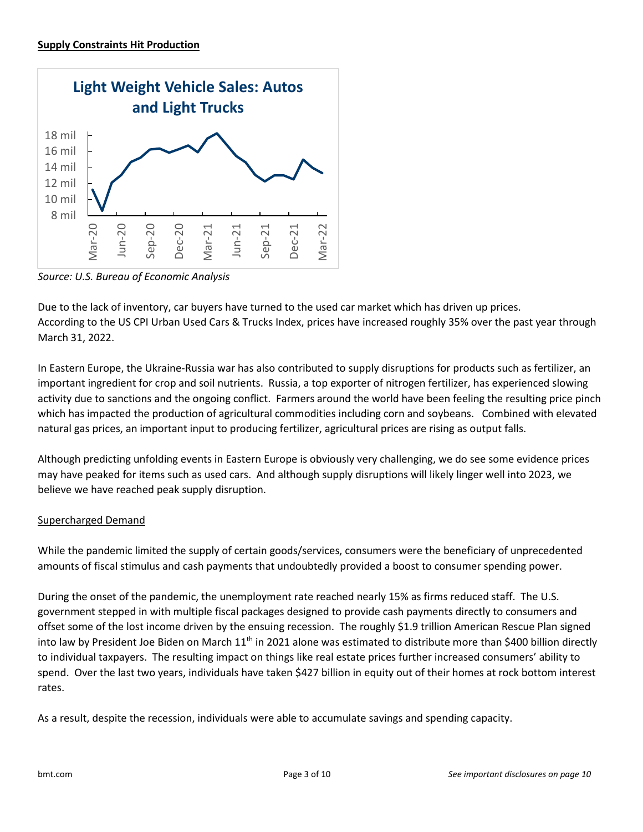

*Source: U.S. Bureau of Economic Analysis*

Due to the lack of inventory, car buyers have turned to the used car market which has driven up prices. According to the US CPI Urban Used Cars & Trucks Index, prices have increased roughly 35% over the past year through March 31, 2022.

In Eastern Europe, the Ukraine-Russia war has also contributed to supply disruptions for products such as fertilizer, an important ingredient for crop and soil nutrients. Russia, a top exporter of nitrogen fertilizer, has experienced slowing activity due to sanctions and the ongoing conflict. Farmers around the world have been feeling the resulting price pinch which has impacted the production of agricultural commodities including corn and soybeans. Combined with elevated natural gas prices, an important input to producing fertilizer, agricultural prices are rising as output falls.

Although predicting unfolding events in Eastern Europe is obviously very challenging, we do see some evidence prices may have peaked for items such as used cars. And although supply disruptions will likely linger well into 2023, we believe we have reached peak supply disruption.

# Supercharged Demand

While the pandemic limited the supply of certain goods/services, consumers were the beneficiary of unprecedented amounts of fiscal stimulus and cash payments that undoubtedly provided a boost to consumer spending power.

During the onset of the pandemic, the unemployment rate reached nearly 15% as firms reduced staff. The U.S. government stepped in with multiple fiscal packages designed to provide cash payments directly to consumers and offset some of the lost income driven by the ensuing recession. The roughly \$1.9 trillion American Rescue Plan signed into law by President Joe Biden on March 11<sup>th</sup> in 2021 alone was estimated to distribute more than \$400 billion directly to individual taxpayers. The resulting impact on things like real estate prices further increased consumers' ability to spend. Over the last two years, individuals have taken \$427 billion in equity out of their homes at rock bottom interest rates.

As a result, despite the recession, individuals were able to accumulate savings and spending capacity.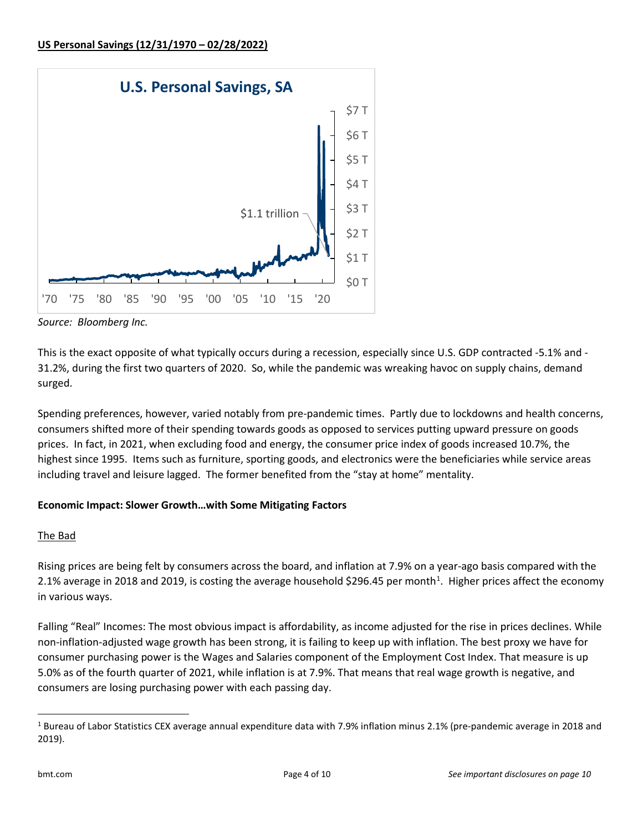

*Source: Bloomberg Inc.*

This is the exact opposite of what typically occurs during a recession, especially since U.S. GDP contracted -5.1% and - 31.2%, during the first two quarters of 2020. So, while the pandemic was wreaking havoc on supply chains, demand surged.

Spending preferences, however, varied notably from pre-pandemic times. Partly due to lockdowns and health concerns, consumers shifted more of their spending towards goods as opposed to services putting upward pressure on goods prices. In fact, in 2021, when excluding food and energy, the consumer price index of goods increased 10.7%, the highest since 1995. Items such as furniture, sporting goods, and electronics were the beneficiaries while service areas including travel and leisure lagged. The former benefited from the "stay at home" mentality.

# **Economic Impact: Slower Growth…with Some Mitigating Factors**

# The Bad

Rising prices are being felt by consumers across the board, and inflation at 7.9% on a year-ago basis compared with the 2.[1](#page-3-0)% average in 2018 and 2019, is costing the average household \$296.45 per month<sup>1</sup>. Higher prices affect the economy in various ways.

Falling "Real" Incomes: The most obvious impact is affordability, as income adjusted for the rise in prices declines. While non-inflation-adjusted wage growth has been strong, it is failing to keep up with inflation. The best proxy we have for consumer purchasing power is the Wages and Salaries component of the Employment Cost Index. That measure is up 5.0% as of the fourth quarter of 2021, while inflation is at 7.9%. That means that real wage growth is negative, and consumers are losing purchasing power with each passing day.

<span id="page-3-0"></span><sup>&</sup>lt;sup>1</sup> Bureau of Labor Statistics CEX average annual expenditure data with 7.9% inflation minus 2.1% (pre-pandemic average in 2018 and 2019).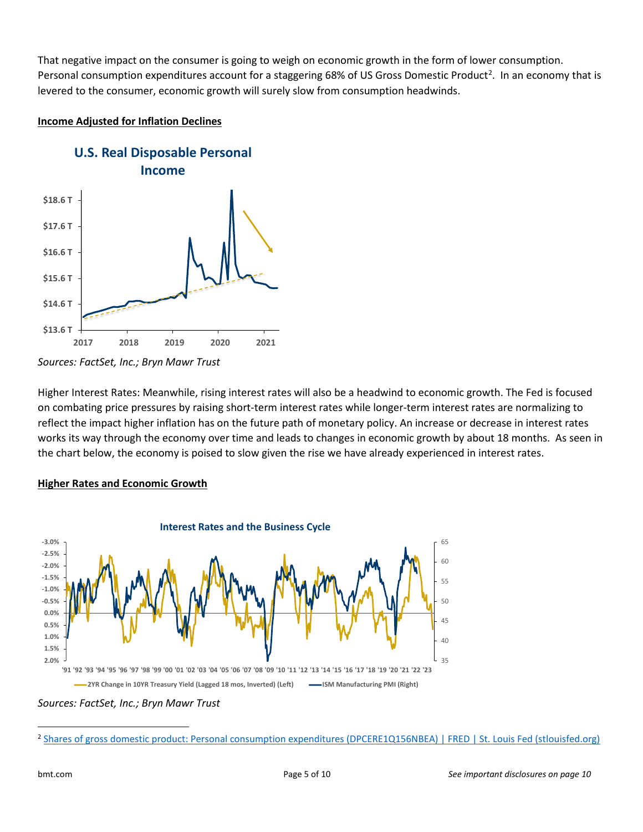That negative impact on the consumer is going to weigh on economic growth in the form of lower consumption. Personal consumption expenditures account for a staggering 68% of US Gross Domestic Product<sup>[2](#page-4-0)</sup>. In an economy that is levered to the consumer, economic growth will surely slow from consumption headwinds.

### **Income Adjusted for Inflation Declines**



*Sources: FactSet, Inc.; Bryn Mawr Trust*

Higher Interest Rates: Meanwhile, rising interest rates will also be a headwind to economic growth. The Fed is focused on combating price pressures by raising short-term interest rates while longer-term interest rates are normalizing to reflect the impact higher inflation has on the future path of monetary policy. An increase or decrease in interest rates works its way through the economy over time and leads to changes in economic growth by about 18 months. As seen in the chart below, the economy is poised to slow given the rise we have already experienced in interest rates.

# **Higher Rates and Economic Growth**



*Sources: FactSet, Inc.; Bryn Mawr Trust*

<span id="page-4-0"></span><sup>&</sup>lt;sup>2</sup> [Shares of gross domestic product: Personal consumption expenditures \(DPCERE1Q156NBEA\) | FRED | St. Louis Fed \(stlouisfed.org\)](https://fred.stlouisfed.org/series/DPCERE1Q156NBEA)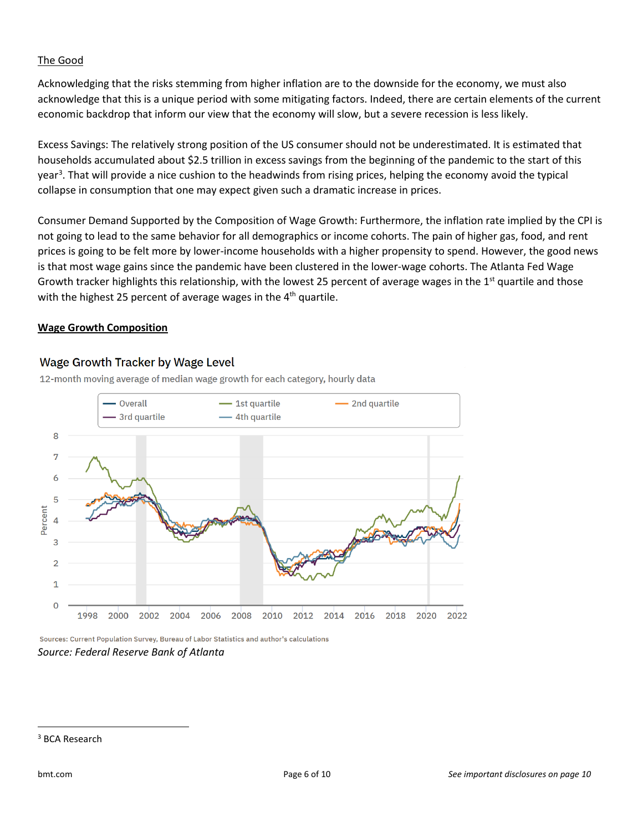### The Good

Acknowledging that the risks stemming from higher inflation are to the downside for the economy, we must also acknowledge that this is a unique period with some mitigating factors. Indeed, there are certain elements of the current economic backdrop that inform our view that the economy will slow, but a severe recession is less likely.

Excess Savings: The relatively strong position of the US consumer should not be underestimated. It is estimated that households accumulated about \$2.5 trillion in excess savings from the beginning of the pandemic to the start of this year<sup>[3](#page-5-0)</sup>. That will provide a nice cushion to the headwinds from rising prices, helping the economy avoid the typical collapse in consumption that one may expect given such a dramatic increase in prices.

Consumer Demand Supported by the Composition of Wage Growth: Furthermore, the inflation rate implied by the CPI is not going to lead to the same behavior for all demographics or income cohorts. The pain of higher gas, food, and rent prices is going to be felt more by lower-income households with a higher propensity to spend. However, the good news is that most wage gains since the pandemic have been clustered in the lower-wage cohorts. The Atlanta Fed Wage Growth tracker highlights this relationship, with the lowest 25 percent of average wages in the  $1<sup>st</sup>$  quartile and those with the highest 25 percent of average wages in the  $4<sup>th</sup>$  quartile.

### **Wage Growth Composition**

### Wage Growth Tracker by Wage Level

12-month moving average of median wage growth for each category, hourly data



Sources: Current Population Survey, Bureau of Labor Statistics and author's calculations *Source: Federal Reserve Bank of Atlanta*

<span id="page-5-0"></span><sup>3</sup> BCA Research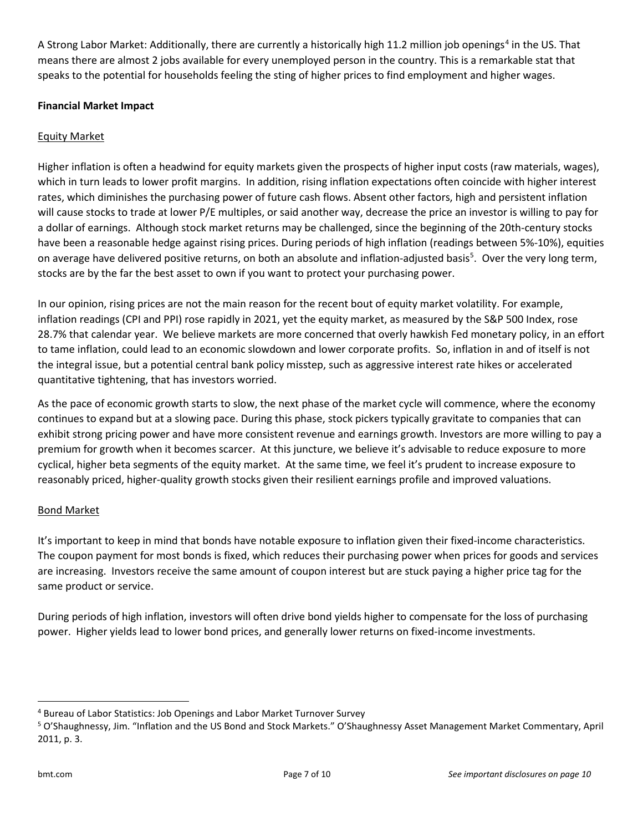A Strong Labor Market: Additionally, there are currently a historically high 11.2 million job openings<sup>[4](#page-6-0)</sup> in the US. That means there are almost 2 jobs available for every unemployed person in the country. This is a remarkable stat that speaks to the potential for households feeling the sting of higher prices to find employment and higher wages.

# **Financial Market Impact**

### Equity Market

Higher inflation is often a headwind for equity markets given the prospects of higher input costs (raw materials, wages), which in turn leads to lower profit margins. In addition, rising inflation expectations often coincide with higher interest rates, which diminishes the purchasing power of future cash flows. Absent other factors, high and persistent inflation will cause stocks to trade at lower P/E multiples, or said another way, decrease the price an investor is willing to pay for a dollar of earnings. Although stock market returns may be challenged, since the beginning of the 20th-century stocks have been a reasonable hedge against rising prices. During periods of high inflation (readings between 5%-10%), equities on average have delivered positive returns, on both an absolute and inflation-adjusted basis<sup>[5](#page-6-1)</sup>. Over the very long term, stocks are by the far the best asset to own if you want to protect your purchasing power.

In our opinion, rising prices are not the main reason for the recent bout of equity market volatility. For example, inflation readings (CPI and PPI) rose rapidly in 2021, yet the equity market, as measured by the S&P 500 Index, rose 28.7% that calendar year. We believe markets are more concerned that overly hawkish Fed monetary policy, in an effort to tame inflation, could lead to an economic slowdown and lower corporate profits. So, inflation in and of itself is not the integral issue, but a potential central bank policy misstep, such as aggressive interest rate hikes or accelerated quantitative tightening, that has investors worried.

As the pace of economic growth starts to slow, the next phase of the market cycle will commence, where the economy continues to expand but at a slowing pace. During this phase, stock pickers typically gravitate to companies that can exhibit strong pricing power and have more consistent revenue and earnings growth. Investors are more willing to pay a premium for growth when it becomes scarcer. At this juncture, we believe it's advisable to reduce exposure to more cyclical, higher beta segments of the equity market. At the same time, we feel it's prudent to increase exposure to reasonably priced, higher-quality growth stocks given their resilient earnings profile and improved valuations.

### Bond Market

It's important to keep in mind that bonds have notable exposure to inflation given their fixed-income characteristics. The coupon payment for most bonds is fixed, which reduces their purchasing power when prices for goods and services are increasing. Investors receive the same amount of coupon interest but are stuck paying a higher price tag for the same product or service.

During periods of high inflation, investors will often drive bond yields higher to compensate for the loss of purchasing power. Higher yields lead to lower bond prices, and generally lower returns on fixed-income investments.

<span id="page-6-0"></span><sup>4</sup> Bureau of Labor Statistics: Job Openings and Labor Market Turnover Survey

<span id="page-6-1"></span><sup>5</sup> O'Shaughnessy, Jim. "Inflation and the US Bond and Stock Markets." O'Shaughnessy Asset Management Market Commentary, April 2011, p. 3.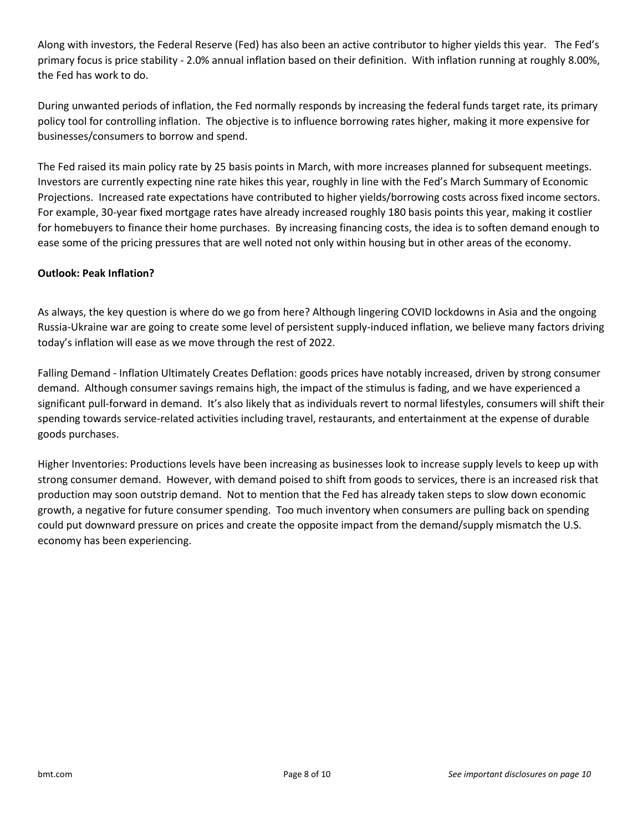Along with investors, the Federal Reserve (Fed) has also been an active contributor to higher yields this year. The Fed's primary focus is price stability - 2.0% annual inflation based on their definition. With inflation running at roughly 8.00%, the Fed has work to do.

During unwanted periods of inflation, the Fed normally responds by increasing the federal funds target rate, its primary policy tool for controlling inflation. The objective is to influence borrowing rates higher, making it more expensive for businesses/consumers to borrow and spend.

The Fed raised its main policy rate by 25 basis points in March, with more increases planned for subsequent meetings. Investors are currently expecting nine rate hikes this year, roughly in line with the Fed's March Summary of Economic Projections. Increased rate expectations have contributed to higher yields/borrowing costs across fixed income sectors. For example, 30-year fixed mortgage rates have already increased roughly 180 basis points this year, making it costlier for homebuyers to finance their home purchases. By increasing financing costs, the idea is to soften demand enough to ease some of the pricing pressures that are well noted not only within housing but in other areas of the economy.

# **Outlook: Peak Inflation?**

As always, the key question is where do we go from here? Although lingering COVID lockdowns in Asia and the ongoing Russia-Ukraine war are going to create some level of persistent supply-induced inflation, we believe many factors driving today's inflation will ease as we move through the rest of 2022.

Falling Demand - Inflation Ultimately Creates Deflation: goods prices have notably increased, driven by strong consumer demand. Although consumer savings remains high, the impact of the stimulus is fading, and we have experienced a significant pull-forward in demand. It's also likely that as individuals revert to normal lifestyles, consumers will shift their spending towards service-related activities including travel, restaurants, and entertainment at the expense of durable goods purchases.

Higher Inventories: Productions levels have been increasing as businesses look to increase supply levels to keep up with strong consumer demand. However, with demand poised to shift from goods to services, there is an increased risk that production may soon outstrip demand. Not to mention that the Fed has already taken steps to slow down economic growth, a negative for future consumer spending. Too much inventory when consumers are pulling back on spending could put downward pressure on prices and create the opposite impact from the demand/supply mismatch the U.S. economy has been experiencing.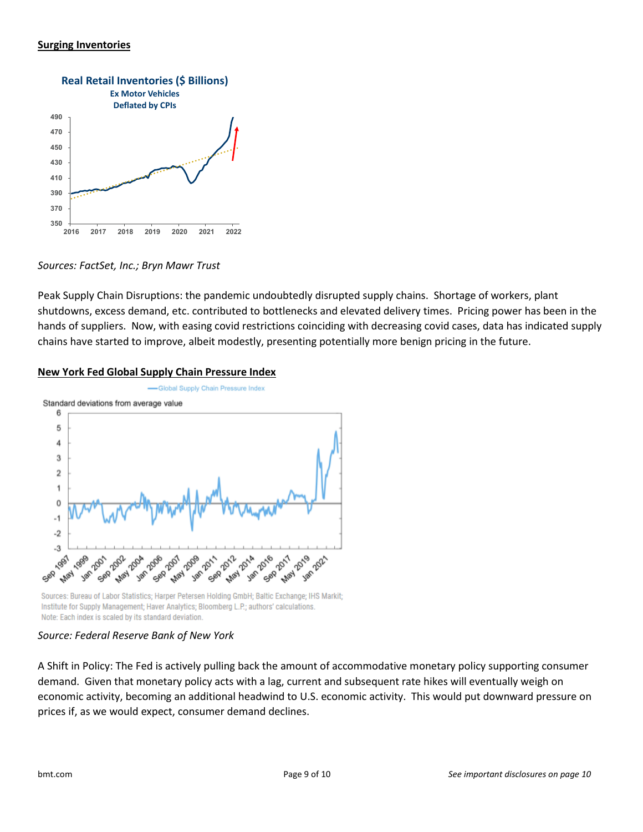### **Surging Inventories**



*Sources: FactSet, Inc.; Bryn Mawr Trust*

Peak Supply Chain Disruptions: the pandemic undoubtedly disrupted supply chains. Shortage of workers, plant shutdowns, excess demand, etc. contributed to bottlenecks and elevated delivery times. Pricing power has been in the hands of suppliers. Now, with easing covid restrictions coinciding with decreasing covid cases, data has indicated supply chains have started to improve, albeit modestly, presenting potentially more benign pricing in the future.

### **New York Fed Global Supply Chain Pressure Index**



Sources: Bureau of Labor Statistics; Harper Petersen Holding GmbH; Baltic Exchange; IHS Markit; Institute for Supply Management; Haver Analytics; Bloomberg L.P.; authors' calculations. Note: Each index is scaled by its standard deviation.

### *Source: Federal Reserve Bank of New York*

A Shift in Policy: The Fed is actively pulling back the amount of accommodative monetary policy supporting consumer demand. Given that monetary policy acts with a lag, current and subsequent rate hikes will eventually weigh on economic activity, becoming an additional headwind to U.S. economic activity. This would put downward pressure on prices if, as we would expect, consumer demand declines.